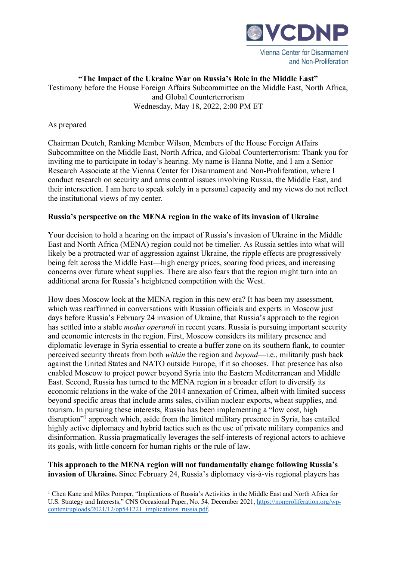

**"The Impact of the Ukraine War on Russia's Role in the Middle East"**  Testimony before the House Foreign Affairs Subcommittee on the Middle East, North Africa, and Global Counterterrorism Wednesday, May 18, 2022, 2:00 PM ET

## As prepared

Chairman Deutch, Ranking Member Wilson, Members of the House Foreign Affairs Subcommittee on the Middle East, North Africa, and Global Counterterrorism: Thank you for inviting me to participate in today's hearing. My name is Hanna Notte, and I am a Senior Research Associate at the Vienna Center for Disarmament and Non-Proliferation, where I conduct research on security and arms control issues involving Russia, the Middle East, and their intersection. I am here to speak solely in a personal capacity and my views do not reflect the institutional views of my center.

## **Russia's perspective on the MENA region in the wake of its invasion of Ukraine**

Your decision to hold a hearing on the impact of Russia's invasion of Ukraine in the Middle East and North Africa (MENA) region could not be timelier. As Russia settles into what will likely be a protracted war of aggression against Ukraine, the ripple effects are progressively being felt across the Middle East—high energy prices, soaring food prices, and increasing concerns over future wheat supplies. There are also fears that the region might turn into an additional arena for Russia's heightened competition with the West.

How does Moscow look at the MENA region in this new era? It has been my assessment, which was reaffirmed in conversations with Russian officials and experts in Moscow just days before Russia's February 24 invasion of Ukraine, that Russia's approach to the region has settled into a stable *modus operandi* in recent years. Russia is pursuing important security and economic interests in the region. First, Moscow considers its military presence and diplomatic leverage in Syria essential to create a buffer zone on its southern flank, to counter perceived security threats from both *within* the region and *beyond*—i.e., militarily push back against the United States and NATO outside Europe, if it so chooses. That presence has also enabled Moscow to project power beyond Syria into the Eastern Mediterranean and Middle East. Second, Russia has turned to the MENA region in a broader effort to diversify its economic relations in the wake of the 2014 annexation of Crimea, albeit with limited success beyond specific areas that include arms sales, civilian nuclear exports, wheat supplies, and tourism. In pursuing these interests, Russia has been implementing a "low cost, high disruption"<sup>1</sup> approach which, aside from the limited military presence in Syria, has entailed highly active diplomacy and hybrid tactics such as the use of private military companies and disinformation. Russia pragmatically leverages the self-interests of regional actors to achieve its goals, with little concern for human rights or the rule of law.

**This approach to the MENA region will not fundamentally change following Russia's invasion of Ukraine.** Since February 24, Russia's diplomacy vis-à-vis regional players has

<sup>&</sup>lt;sup>1</sup> Chen Kane and Miles Pomper, "Implications of Russia's Activities in the Middle East and North Africa for U.S. Strategy and Interests," CNS Occasional Paper, No. 54*,* December 2021, https://nonproliferation.org/wpcontent/uploads/2021/12/op541221\_implications\_russia.pdf.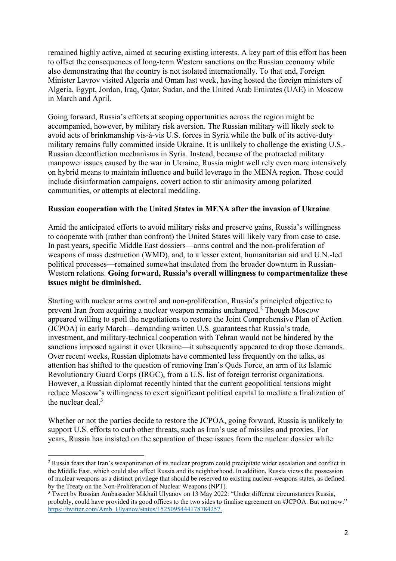remained highly active, aimed at securing existing interests. A key part of this effort has been to offset the consequences of long-term Western sanctions on the Russian economy while also demonstrating that the country is not isolated internationally. To that end, Foreign Minister Lavrov visited Algeria and Oman last week, having hosted the foreign ministers of Algeria, Egypt, Jordan, Iraq, Qatar, Sudan, and the United Arab Emirates (UAE) in Moscow in March and April.

Going forward, Russia's efforts at scoping opportunities across the region might be accompanied, however, by military risk aversion. The Russian military will likely seek to avoid acts of brinkmanship vis-à-vis U.S. forces in Syria while the bulk of its active-duty military remains fully committed inside Ukraine. It is unlikely to challenge the existing U.S.- Russian deconfliction mechanisms in Syria. Instead, because of the protracted military manpower issues caused by the war in Ukraine, Russia might well rely even more intensively on hybrid means to maintain influence and build leverage in the MENA region. Those could include disinformation campaigns, covert action to stir animosity among polarized communities, or attempts at electoral meddling.

## **Russian cooperation with the United States in MENA after the invasion of Ukraine**

Amid the anticipated efforts to avoid military risks and preserve gains, Russia's willingness to cooperate with (rather than confront) the United States will likely vary from case to case. In past years, specific Middle East dossiers—arms control and the non-proliferation of weapons of mass destruction (WMD), and, to a lesser extent, humanitarian aid and U.N.-led political processes—remained somewhat insulated from the broader downturn in Russian-Western relations. **Going forward, Russia's overall willingness to compartmentalize these issues might be diminished.**

Starting with nuclear arms control and non-proliferation, Russia's principled objective to prevent Iran from acquiring a nuclear weapon remains unchanged.2 Though Moscow appeared willing to spoil the negotiations to restore the Joint Comprehensive Plan of Action (JCPOA) in early March—demanding written U.S. guarantees that Russia's trade, investment, and military-technical cooperation with Tehran would not be hindered by the sanctions imposed against it over Ukraine—it subsequently appeared to drop those demands. Over recent weeks, Russian diplomats have commented less frequently on the talks, as attention has shifted to the question of removing Iran's Quds Force, an arm of its Islamic Revolutionary Guard Corps (IRGC), from a U.S. list of foreign terrorist organizations. However, a Russian diplomat recently hinted that the current geopolitical tensions might reduce Moscow's willingness to exert significant political capital to mediate a finalization of the nuclear deal.<sup>3</sup>

Whether or not the parties decide to restore the JCPOA, going forward, Russia is unlikely to support U.S. efforts to curb other threats, such as Iran's use of missiles and proxies. For years, Russia has insisted on the separation of these issues from the nuclear dossier while

<sup>&</sup>lt;sup>2</sup> Russia fears that Iran's weaponization of its nuclear program could precipitate wider escalation and conflict in the Middle East, which could also affect Russia and its neighborhood. In addition, Russia views the possession of nuclear weapons as a distinct privilege that should be reserved to existing nuclear-weapons states, as defined by the Treaty on the Non-Proliferation of Nuclear Weapons (NPT).

<sup>&</sup>lt;sup>3</sup> Tweet by Russian Ambassador Mikhail Ulyanov on 13 May 2022: "Under different circumstances Russia, probably, could have provided its good offices to the two sides to finalise agreement on #JCPOA. But not now." https://twitter.com/Amb\_Ulyanov/status/1525095444178784257.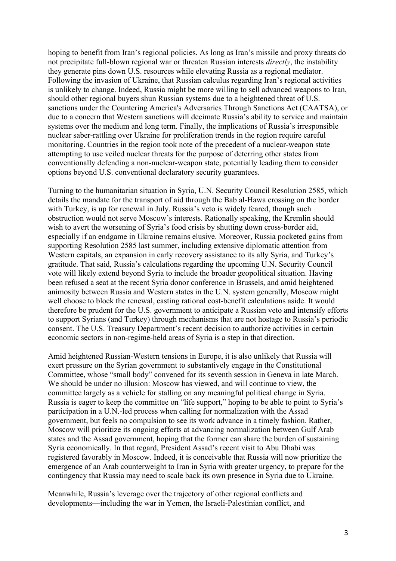hoping to benefit from Iran's regional policies. As long as Iran's missile and proxy threats do not precipitate full-blown regional war or threaten Russian interests *directly*, the instability they generate pins down U.S. resources while elevating Russia as a regional mediator. Following the invasion of Ukraine, that Russian calculus regarding Iran's regional activities is unlikely to change. Indeed, Russia might be more willing to sell advanced weapons to Iran, should other regional buyers shun Russian systems due to a heightened threat of U.S. sanctions under the Countering America's Adversaries Through Sanctions Act (CAATSA), or due to a concern that Western sanctions will decimate Russia's ability to service and maintain systems over the medium and long term. Finally, the implications of Russia's irresponsible nuclear saber-rattling over Ukraine for proliferation trends in the region require careful monitoring. Countries in the region took note of the precedent of a nuclear-weapon state attempting to use veiled nuclear threats for the purpose of deterring other states from conventionally defending a non-nuclear-weapon state, potentially leading them to consider options beyond U.S. conventional declaratory security guarantees.

Turning to the humanitarian situation in Syria, U.N. Security Council Resolution 2585, which details the mandate for the transport of aid through the Bab al-Hawa crossing on the border with Turkey, is up for renewal in July. Russia's veto is widely feared, though such obstruction would not serve Moscow's interests. Rationally speaking, the Kremlin should wish to avert the worsening of Syria's food crisis by shutting down cross-border aid, especially if an endgame in Ukraine remains elusive. Moreover, Russia pocketed gains from supporting Resolution 2585 last summer, including extensive diplomatic attention from Western capitals, an expansion in early recovery assistance to its ally Syria, and Turkey's gratitude. That said, Russia's calculations regarding the upcoming U.N. Security Council vote will likely extend beyond Syria to include the broader geopolitical situation. Having been refused a seat at the recent Syria donor conference in Brussels, and amid heightened animosity between Russia and Western states in the U.N. system generally, Moscow might well choose to block the renewal, casting rational cost-benefit calculations aside. It would therefore be prudent for the U.S. government to anticipate a Russian veto and intensify efforts to support Syrians (and Turkey) through mechanisms that are not hostage to Russia's periodic consent. The U.S. Treasury Department's recent decision to authorize activities in certain economic sectors in non-regime-held areas of Syria is a step in that direction.

Amid heightened Russian-Western tensions in Europe, it is also unlikely that Russia will exert pressure on the Syrian government to substantively engage in the Constitutional Committee, whose "small body" convened for its seventh session in Geneva in late March. We should be under no illusion: Moscow has viewed, and will continue to view, the committee largely as a vehicle for stalling on any meaningful political change in Syria. Russia is eager to keep the committee on "life support," hoping to be able to point to Syria's participation in a U.N.-led process when calling for normalization with the Assad government, but feels no compulsion to see its work advance in a timely fashion. Rather, Moscow will prioritize its ongoing efforts at advancing normalization between Gulf Arab states and the Assad government, hoping that the former can share the burden of sustaining Syria economically. In that regard, President Assad's recent visit to Abu Dhabi was registered favorably in Moscow. Indeed, it is conceivable that Russia will now prioritize the emergence of an Arab counterweight to Iran in Syria with greater urgency, to prepare for the contingency that Russia may need to scale back its own presence in Syria due to Ukraine.

Meanwhile, Russia's leverage over the trajectory of other regional conflicts and developments—including the war in Yemen, the Israeli-Palestinian conflict, and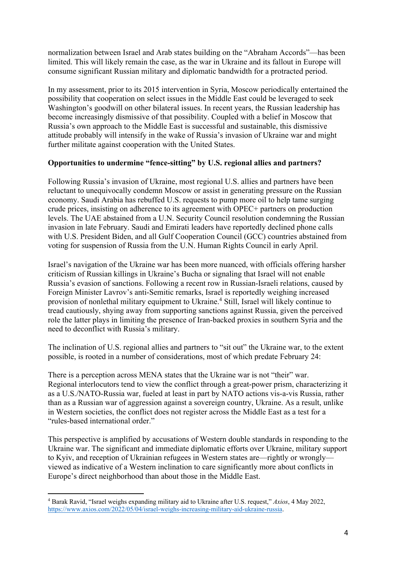normalization between Israel and Arab states building on the "Abraham Accords"—has been limited. This will likely remain the case, as the war in Ukraine and its fallout in Europe will consume significant Russian military and diplomatic bandwidth for a protracted period.

In my assessment, prior to its 2015 intervention in Syria, Moscow periodically entertained the possibility that cooperation on select issues in the Middle East could be leveraged to seek Washington's goodwill on other bilateral issues. In recent years, the Russian leadership has become increasingly dismissive of that possibility. Coupled with a belief in Moscow that Russia's own approach to the Middle East is successful and sustainable, this dismissive attitude probably will intensify in the wake of Russia's invasion of Ukraine war and might further militate against cooperation with the United States.

## **Opportunities to undermine "fence-sitting" by U.S. regional allies and partners?**

Following Russia's invasion of Ukraine, most regional U.S. allies and partners have been reluctant to unequivocally condemn Moscow or assist in generating pressure on the Russian economy. Saudi Arabia has rebuffed U.S. requests to pump more oil to help tame surging crude prices, insisting on adherence to its agreement with OPEC+ partners on production levels. The UAE abstained from a U.N. Security Council resolution condemning the Russian invasion in late February. Saudi and Emirati leaders have reportedly declined phone calls with U.S. President Biden, and all Gulf Cooperation Council (GCC) countries abstained from voting for suspension of Russia from the U.N. Human Rights Council in early April.

Israel's navigation of the Ukraine war has been more nuanced, with officials offering harsher criticism of Russian killings in Ukraine's Bucha or signaling that Israel will not enable Russia's evasion of sanctions. Following a recent row in Russian-Israeli relations, caused by Foreign Minister Lavrov's anti-Semitic remarks, Israel is reportedly weighing increased provision of nonlethal military equipment to Ukraine.4 Still, Israel will likely continue to tread cautiously, shying away from supporting sanctions against Russia, given the perceived role the latter plays in limiting the presence of Iran-backed proxies in southern Syria and the need to deconflict with Russia's military.

The inclination of U.S. regional allies and partners to "sit out" the Ukraine war, to the extent possible, is rooted in a number of considerations, most of which predate February 24:

There is a perception across MENA states that the Ukraine war is not "their" war. Regional interlocutors tend to view the conflict through a great-power prism, characterizing it as a U.S./NATO-Russia war, fueled at least in part by NATO actions vis-a-vis Russia, rather than as a Russian war of aggression against a sovereign country, Ukraine. As a result, unlike in Western societies, the conflict does not register across the Middle East as a test for a "rules-based international order."

This perspective is amplified by accusations of Western double standards in responding to the Ukraine war. The significant and immediate diplomatic efforts over Ukraine, military support to Kyiv, and reception of Ukrainian refugees in Western states are—rightly or wrongly viewed as indicative of a Western inclination to care significantly more about conflicts in Europe's direct neighborhood than about those in the Middle East.

<sup>4</sup> Barak Ravid, "Israel weighs expanding military aid to Ukraine after U.S. request," *Axios*, 4 May 2022, https://www.axios.com/2022/05/04/israel-weighs-increasing-military-aid-ukraine-russia.